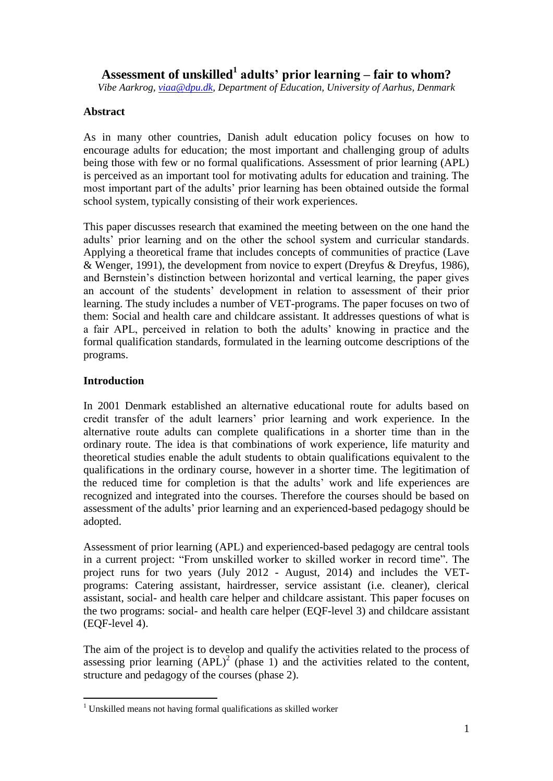# **Assessment of unskilled<sup>1</sup> adults' prior learning – fair to whom?**

*Vibe Aarkrog, [viaa@dpu.dk,](mailto:viaa@dpu.dk) Department of Education, University of Aarhus, Denmark*

## **Abstract**

As in many other countries, Danish adult education policy focuses on how to encourage adults for education; the most important and challenging group of adults being those with few or no formal qualifications. Assessment of prior learning (APL) is perceived as an important tool for motivating adults for education and training. The most important part of the adults" prior learning has been obtained outside the formal school system, typically consisting of their work experiences.

This paper discusses research that examined the meeting between on the one hand the adults" prior learning and on the other the school system and curricular standards. Applying a theoretical frame that includes concepts of communities of practice (Lave & Wenger, 1991), the development from novice to expert (Dreyfus & Dreyfus, 1986), and Bernstein"s distinction between horizontal and vertical learning, the paper gives an account of the students" development in relation to assessment of their prior learning. The study includes a number of VET-programs. The paper focuses on two of them: Social and health care and childcare assistant. It addresses questions of what is a fair APL, perceived in relation to both the adults" knowing in practice and the formal qualification standards, formulated in the learning outcome descriptions of the programs.

### **Introduction**

In 2001 Denmark established an alternative educational route for adults based on credit transfer of the adult learners" prior learning and work experience. In the alternative route adults can complete qualifications in a shorter time than in the ordinary route. The idea is that combinations of work experience, life maturity and theoretical studies enable the adult students to obtain qualifications equivalent to the qualifications in the ordinary course, however in a shorter time. The legitimation of the reduced time for completion is that the adults" work and life experiences are recognized and integrated into the courses. Therefore the courses should be based on assessment of the adults" prior learning and an experienced-based pedagogy should be adopted.

Assessment of prior learning (APL) and experienced-based pedagogy are central tools in a current project: "From unskilled worker to skilled worker in record time". The project runs for two years (July 2012 - August, 2014) and includes the VETprograms: Catering assistant, hairdresser, service assistant (i.e. cleaner), clerical assistant, social- and health care helper and childcare assistant. This paper focuses on the two programs: social- and health care helper (EQF-level 3) and childcare assistant (EQF-level 4).

The aim of the project is to develop and qualify the activities related to the process of assessing prior learning  $(APL)^2$  (phase 1) and the activities related to the content, structure and pedagogy of the courses (phase 2).

 $\overline{a}$ <sup>1</sup> Unskilled means not having formal qualifications as skilled worker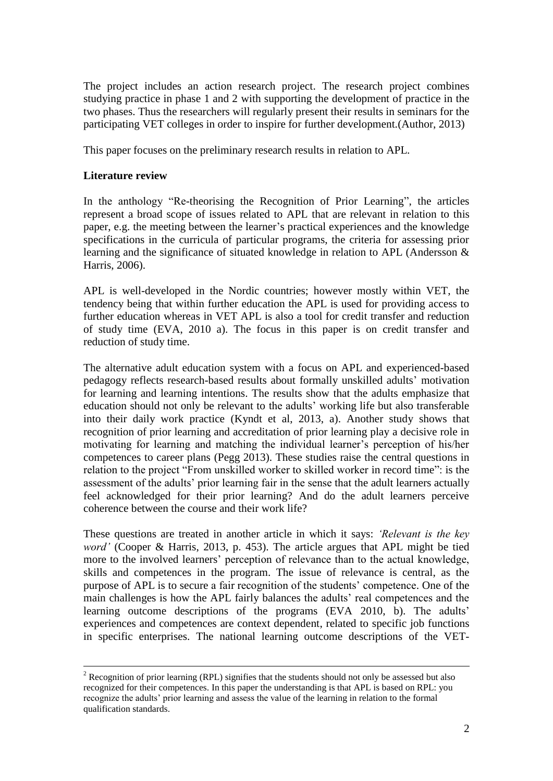The project includes an action research project. The research project combines studying practice in phase 1 and 2 with supporting the development of practice in the two phases. Thus the researchers will regularly present their results in seminars for the participating VET colleges in order to inspire for further development.(Author, 2013)

This paper focuses on the preliminary research results in relation to APL.

## **Literature review**

1

In the anthology "Re-theorising the Recognition of Prior Learning", the articles represent a broad scope of issues related to APL that are relevant in relation to this paper, e.g. the meeting between the learner"s practical experiences and the knowledge specifications in the curricula of particular programs, the criteria for assessing prior learning and the significance of situated knowledge in relation to APL (Andersson & Harris, 2006).

APL is well-developed in the Nordic countries; however mostly within VET, the tendency being that within further education the APL is used for providing access to further education whereas in VET APL is also a tool for credit transfer and reduction of study time (EVA, 2010 a). The focus in this paper is on credit transfer and reduction of study time.

The alternative adult education system with a focus on APL and experienced-based pedagogy reflects research-based results about formally unskilled adults" motivation for learning and learning intentions. The results show that the adults emphasize that education should not only be relevant to the adults" working life but also transferable into their daily work practice (Kyndt et al, 2013, a). Another study shows that recognition of prior learning and accreditation of prior learning play a decisive role in motivating for learning and matching the individual learner"s perception of his/her competences to career plans [\(Pegg 2013\)](#page-10-0). These studies raise the central questions in relation to the project "From unskilled worker to skilled worker in record time": is the assessment of the adults' prior learning fair in the sense that the adult learners actually feel acknowledged for their prior learning? And do the adult learners perceive coherence between the course and their work life?

These questions are treated in another article in which it says: *'Relevant is the key word'* (Cooper & Harris, 2013, p. 453). The article argues that APL might be tied more to the involved learners' perception of relevance than to the actual knowledge, skills and competences in the program. The issue of relevance is central, as the purpose of APL is to secure a fair recognition of the students" competence. One of the main challenges is how the APL fairly balances the adults" real competences and the learning outcome descriptions of the programs (EVA 2010, b). The adults' experiences and competences are context dependent, related to specific job functions in specific enterprises. The national learning outcome descriptions of the VET-

 $2 \text{ Recognition of prior learning (RPL) signifies that the students should not only be assessed but also.}$ recognized for their competences. In this paper the understanding is that APL is based on RPL: you recognize the adults" prior learning and assess the value of the learning in relation to the formal qualification standards.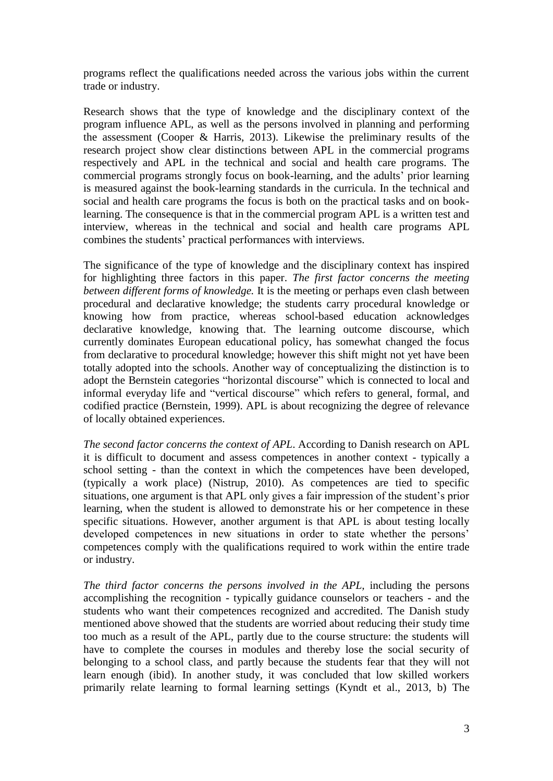programs reflect the qualifications needed across the various jobs within the current trade or industry.

Research shows that the type of knowledge and the disciplinary context of the program influence APL, as well as the persons involved in planning and performing the assessment [\(Cooper & Harris, 2013\)](#page-9-0). Likewise the preliminary results of the research project show clear distinctions between APL in the commercial programs respectively and APL in the technical and social and health care programs. The commercial programs strongly focus on book-learning, and the adults" prior learning is measured against the book-learning standards in the curricula. In the technical and social and health care programs the focus is both on the practical tasks and on booklearning. The consequence is that in the commercial program APL is a written test and interview, whereas in the technical and social and health care programs APL combines the students" practical performances with interviews.

The significance of the type of knowledge and the disciplinary context has inspired for highlighting three factors in this paper. *The first factor concerns the meeting between different forms of knowledge.* It is the meeting or perhaps even clash between procedural and declarative knowledge; the students carry procedural knowledge or knowing how from practice, whereas school-based education acknowledges declarative knowledge, knowing that. The learning outcome discourse, which currently dominates European educational policy, has somewhat changed the focus from declarative to procedural knowledge; however this shift might not yet have been totally adopted into the schools. Another way of conceptualizing the distinction is to adopt the Bernstein categories "horizontal discourse" which is connected to local and informal everyday life and "vertical discourse" which refers to general, formal, and codified practice (Bernstein, 1999). APL is about recognizing the degree of relevance of locally obtained experiences.

*The second factor concerns the context of APL*. According to Danish research on APL it is difficult to document and assess competences in another context - typically a school setting - than the context in which the competences have been developed, (typically a work place) [\(Nistrup,](#page-10-1) 2010). As competences are tied to specific situations, one argument is that APL only gives a fair impression of the student"s prior learning, when the student is allowed to demonstrate his or her competence in these specific situations. However, another argument is that APL is about testing locally developed competences in new situations in order to state whether the persons' competences comply with the qualifications required to work within the entire trade or industry.

*The third factor concerns the persons involved in the APL, including the persons* accomplishing the recognition - typically guidance counselors or teachers - and the students who want their competences recognized and accredited. The Danish study mentioned above showed that the students are worried about reducing their study time too much as a result of the APL, partly due to the course structure: the students will have to complete the courses in modules and thereby lose the social security of belonging to a school class, and partly because the students fear that they will not learn enough (ibid). In another study, it was concluded that low skilled workers primarily relate learning to formal learning settings [\(Kyndt et al., 2013,](#page-9-1) b) The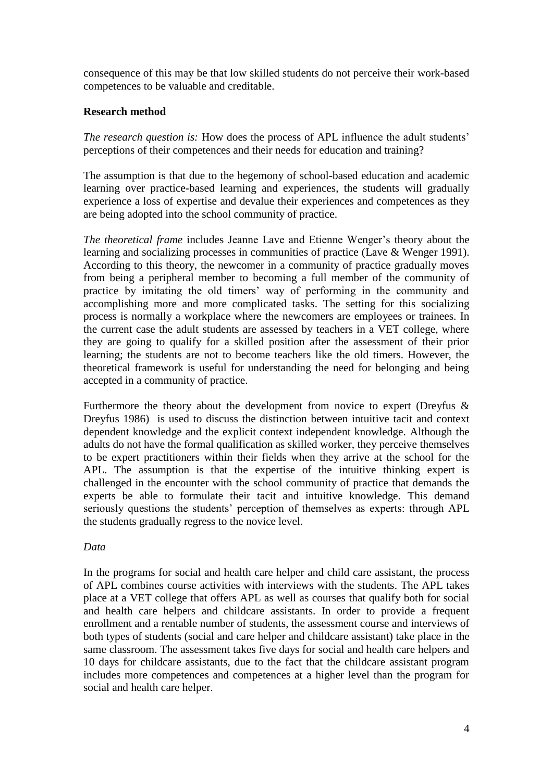consequence of this may be that low skilled students do not perceive their work-based competences to be valuable and creditable.

## **Research method**

*The research question is:* How does the process of APL influence the adult students' perceptions of their competences and their needs for education and training?

The assumption is that due to the hegemony of school-based education and academic learning over practice-based learning and experiences, the students will gradually experience a loss of expertise and devalue their experiences and competences as they are being adopted into the school community of practice.

*The theoretical frame* includes Jeanne Lave and Etienne Wenger's theory about the learning and socializing processes in communities of practice (Lave & [Wenger 1991\)](#page-9-2). According to this theory, the newcomer in a community of practice gradually moves from being a peripheral member to becoming a full member of the community of practice by imitating the old timers" way of performing in the community and accomplishing more and more complicated tasks. The setting for this socializing process is normally a workplace where the newcomers are employees or trainees. In the current case the adult students are assessed by teachers in a VET college, where they are going to qualify for a skilled position after the assessment of their prior learning; the students are not to become teachers like the old timers. However, the theoretical framework is useful for understanding the need for belonging and being accepted in a community of practice.

Furthermore the theory about the development from novice to expert [\(Dreyfus &](#page-9-3) [Dreyfus 1986\)](#page-9-3) is used to discuss the distinction between intuitive tacit and context dependent knowledge and the explicit context independent knowledge. Although the adults do not have the formal qualification as skilled worker, they perceive themselves to be expert practitioners within their fields when they arrive at the school for the APL. The assumption is that the expertise of the intuitive thinking expert is challenged in the encounter with the school community of practice that demands the experts be able to formulate their tacit and intuitive knowledge. This demand seriously questions the students' perception of themselves as experts: through APL the students gradually regress to the novice level.

# *Data*

In the programs for social and health care helper and child care assistant, the process of APL combines course activities with interviews with the students. The APL takes place at a VET college that offers APL as well as courses that qualify both for social and health care helpers and childcare assistants. In order to provide a frequent enrollment and a rentable number of students, the assessment course and interviews of both types of students (social and care helper and childcare assistant) take place in the same classroom. The assessment takes five days for social and health care helpers and 10 days for childcare assistants, due to the fact that the childcare assistant program includes more competences and competences at a higher level than the program for social and health care helper.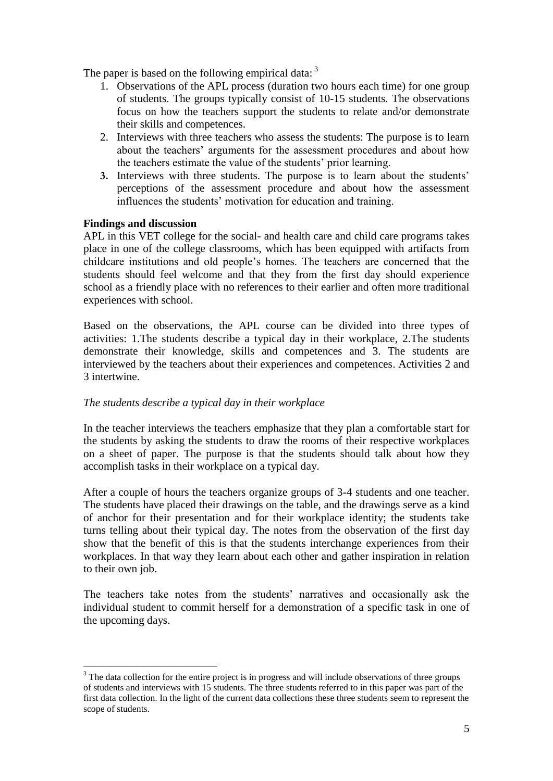The paper is based on the following empirical data:  $3$ 

- 1. Observations of the APL process (duration two hours each time) for one group of students. The groups typically consist of 10-15 students. The observations focus on how the teachers support the students to relate and/or demonstrate their skills and competences.
- 2. Interviews with three teachers who assess the students: The purpose is to learn about the teachers" arguments for the assessment procedures and about how the teachers estimate the value of the students' prior learning.
- **3.** Interviews with three students. The purpose is to learn about the students" perceptions of the assessment procedure and about how the assessment influences the students' motivation for education and training.

### **Findings and discussion**

 $\overline{a}$ 

APL in this VET college for the social- and health care and child care programs takes place in one of the college classrooms, which has been equipped with artifacts from childcare institutions and old people"s homes. The teachers are concerned that the students should feel welcome and that they from the first day should experience school as a friendly place with no references to their earlier and often more traditional experiences with school.

Based on the observations, the APL course can be divided into three types of activities: 1.The students describe a typical day in their workplace, 2.The students demonstrate their knowledge, skills and competences and 3. The students are interviewed by the teachers about their experiences and competences. Activities 2 and 3 intertwine.

#### *The students describe a typical day in their workplace*

In the teacher interviews the teachers emphasize that they plan a comfortable start for the students by asking the students to draw the rooms of their respective workplaces on a sheet of paper. The purpose is that the students should talk about how they accomplish tasks in their workplace on a typical day.

After a couple of hours the teachers organize groups of 3-4 students and one teacher. The students have placed their drawings on the table, and the drawings serve as a kind of anchor for their presentation and for their workplace identity; the students take turns telling about their typical day. The notes from the observation of the first day show that the benefit of this is that the students interchange experiences from their workplaces. In that way they learn about each other and gather inspiration in relation to their own job.

The teachers take notes from the students' narratives and occasionally ask the individual student to commit herself for a demonstration of a specific task in one of the upcoming days.

<sup>&</sup>lt;sup>3</sup> The data collection for the entire project is in progress and will include observations of three groups of students and interviews with 15 students. The three students referred to in this paper was part of the first data collection. In the light of the current data collections these three students seem to represent the scope of students.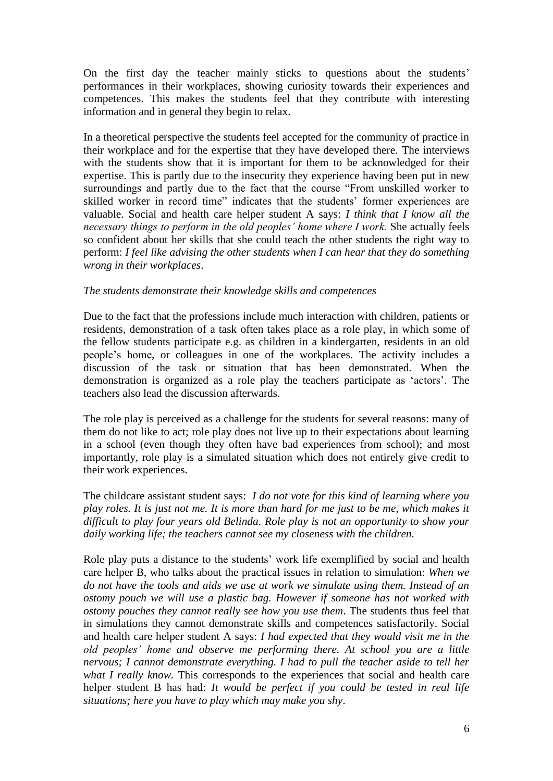On the first day the teacher mainly sticks to questions about the students' performances in their workplaces, showing curiosity towards their experiences and competences. This makes the students feel that they contribute with interesting information and in general they begin to relax.

In a theoretical perspective the students feel accepted for the community of practice in their workplace and for the expertise that they have developed there. The interviews with the students show that it is important for them to be acknowledged for their expertise. This is partly due to the insecurity they experience having been put in new surroundings and partly due to the fact that the course "From unskilled worker to skilled worker in record time" indicates that the students' former experiences are valuable. Social and health care helper student A says: *I think that I know all the necessary things to perform in the old peoples' home where I work. She actually feels* so confident about her skills that she could teach the other students the right way to perform: *I feel like advising the other students when I can hear that they do something wrong in their workplaces*.

#### *The students demonstrate their knowledge skills and competences*

Due to the fact that the professions include much interaction with children, patients or residents, demonstration of a task often takes place as a role play, in which some of the fellow students participate e.g. as children in a kindergarten, residents in an old people"s home, or colleagues in one of the workplaces. The activity includes a discussion of the task or situation that has been demonstrated. When the demonstration is organized as a role play the teachers participate as "actors". The teachers also lead the discussion afterwards.

The role play is perceived as a challenge for the students for several reasons: many of them do not like to act; role play does not live up to their expectations about learning in a school (even though they often have bad experiences from school); and most importantly, role play is a simulated situation which does not entirely give credit to their work experiences.

The childcare assistant student says: *I do not vote for this kind of learning where you play roles. It is just not me. It is more than hard for me just to be me, which makes it difficult to play four years old Belinda. Role play is not an opportunity to show your daily working life; the teachers cannot see my closeness with the children.*

Role play puts a distance to the students' work life exemplified by social and health care helper B, who talks about the practical issues in relation to simulation: *When we do not have the tools and aids we use at work we simulate using them. Instead of an ostomy pouch we will use a plastic bag. However if someone has not worked with ostomy pouches they cannot really see how you use them*. The students thus feel that in simulations they cannot demonstrate skills and competences satisfactorily. Social and health care helper student A says: *I had expected that they would visit me in the old peoples' home and observe me performing there. At school you are a little nervous; I cannot demonstrate everything. I had to pull the teacher aside to tell her what I really know.* This corresponds to the experiences that social and health care helper student B has had: *It would be perfect if you could be tested in real life situations; here you have to play which may make you shy*.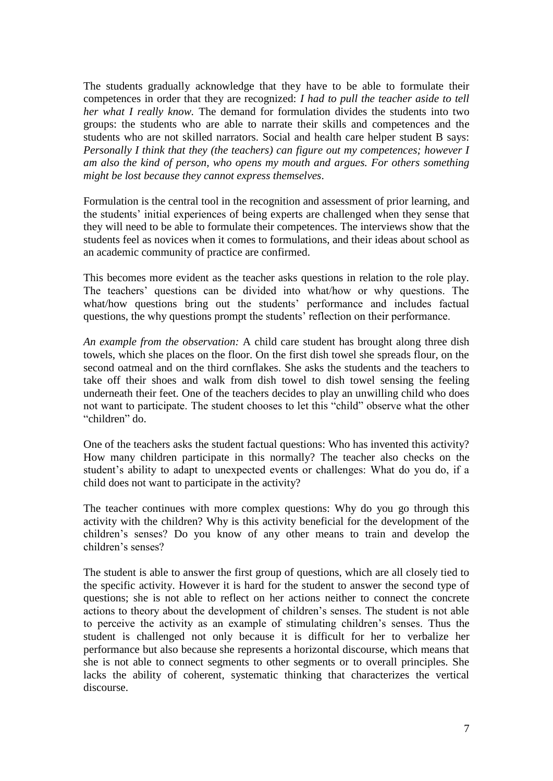The students gradually acknowledge that they have to be able to formulate their competences in order that they are recognized: *I had to pull the teacher aside to tell her what I really know.* The demand for formulation divides the students into two groups: the students who are able to narrate their skills and competences and the students who are not skilled narrators. Social and health care helper student B says: *Personally I think that they (the teachers) can figure out my competences; however I am also the kind of person, who opens my mouth and argues. For others something might be lost because they cannot express themselves*.

Formulation is the central tool in the recognition and assessment of prior learning, and the students" initial experiences of being experts are challenged when they sense that they will need to be able to formulate their competences. The interviews show that the students feel as novices when it comes to formulations, and their ideas about school as an academic community of practice are confirmed.

This becomes more evident as the teacher asks questions in relation to the role play. The teachers" questions can be divided into what/how or why questions. The what/how questions bring out the students' performance and includes factual questions, the why questions prompt the students' reflection on their performance.

*An example from the observation:* A child care student has brought along three dish towels, which she places on the floor. On the first dish towel she spreads flour, on the second oatmeal and on the third cornflakes. She asks the students and the teachers to take off their shoes and walk from dish towel to dish towel sensing the feeling underneath their feet. One of the teachers decides to play an unwilling child who does not want to participate. The student chooses to let this "child" observe what the other "children" do.

One of the teachers asks the student factual questions: Who has invented this activity? How many children participate in this normally? The teacher also checks on the student"s ability to adapt to unexpected events or challenges: What do you do, if a child does not want to participate in the activity?

The teacher continues with more complex questions: Why do you go through this activity with the children? Why is this activity beneficial for the development of the children"s senses? Do you know of any other means to train and develop the children"s senses?

The student is able to answer the first group of questions, which are all closely tied to the specific activity. However it is hard for the student to answer the second type of questions; she is not able to reflect on her actions neither to connect the concrete actions to theory about the development of children"s senses. The student is not able to perceive the activity as an example of stimulating children"s senses. Thus the student is challenged not only because it is difficult for her to verbalize her performance but also because she represents a horizontal discourse, which means that she is not able to connect segments to other segments or to overall principles. She lacks the ability of coherent, systematic thinking that characterizes the vertical discourse.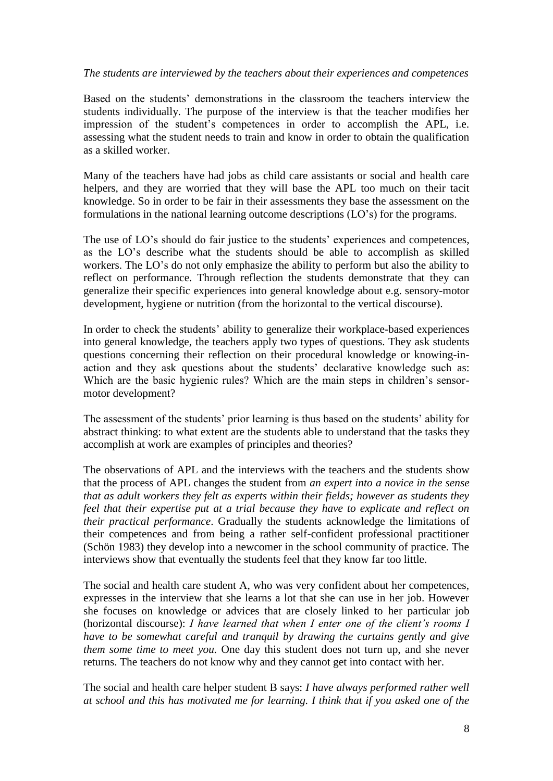#### *The students are interviewed by the teachers about their experiences and competences*

Based on the students" demonstrations in the classroom the teachers interview the students individually. The purpose of the interview is that the teacher modifies her impression of the student"s competences in order to accomplish the APL, i.e. assessing what the student needs to train and know in order to obtain the qualification as a skilled worker.

Many of the teachers have had jobs as child care assistants or social and health care helpers, and they are worried that they will base the APL too much on their tacit knowledge. So in order to be fair in their assessments they base the assessment on the formulations in the national learning outcome descriptions (LO"s) for the programs.

The use of LO's should do fair justice to the students' experiences and competences, as the LO"s describe what the students should be able to accomplish as skilled workers. The LO"s do not only emphasize the ability to perform but also the ability to reflect on performance. Through reflection the students demonstrate that they can generalize their specific experiences into general knowledge about e.g. sensory-motor development, hygiene or nutrition (from the horizontal to the vertical discourse).

In order to check the students' ability to generalize their workplace-based experiences into general knowledge, the teachers apply two types of questions. They ask students questions concerning their reflection on their procedural knowledge or knowing-inaction and they ask questions about the students" declarative knowledge such as: Which are the basic hygienic rules? Which are the main steps in children's sensormotor development?

The assessment of the students" prior learning is thus based on the students" ability for abstract thinking: to what extent are the students able to understand that the tasks they accomplish at work are examples of principles and theories?

The observations of APL and the interviews with the teachers and the students show that the process of APL changes the student from *an expert into a novice in the sense that as adult workers they felt as experts within their fields; however as students they feel that their expertise put at a trial because they have to explicate and reflect on their practical performance*. Gradually the students acknowledge the limitations of their competences and from being a rather self-confident professional practitioner [\(Schön 1983\)](#page-10-2) they develop into a newcomer in the school community of practice. The interviews show that eventually the students feel that they know far too little.

The social and health care student A, who was very confident about her competences, expresses in the interview that she learns a lot that she can use in her job. However she focuses on knowledge or advices that are closely linked to her particular job (horizontal discourse): *I have learned that when I enter one of the client's rooms I have to be somewhat careful and tranquil by drawing the curtains gently and give them some time to meet you.* One day this student does not turn up, and she never returns. The teachers do not know why and they cannot get into contact with her.

The social and health care helper student B says: *I have always performed rather well at school and this has motivated me for learning. I think that if you asked one of the*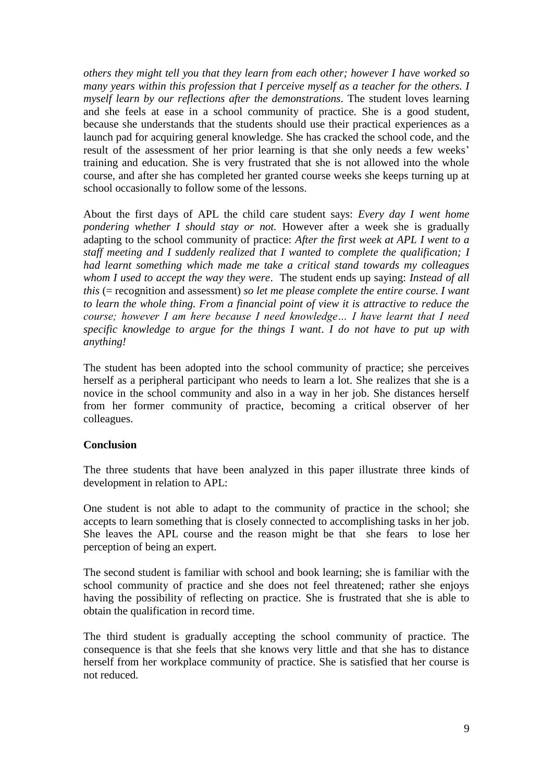*others they might tell you that they learn from each other; however I have worked so many years within this profession that I perceive myself as a teacher for the others. I myself learn by our reflections after the demonstrations*. The student loves learning and she feels at ease in a school community of practice. She is a good student, because she understands that the students should use their practical experiences as a launch pad for acquiring general knowledge. She has cracked the school code, and the result of the assessment of her prior learning is that she only needs a few weeks" training and education. She is very frustrated that she is not allowed into the whole course, and after she has completed her granted course weeks she keeps turning up at school occasionally to follow some of the lessons.

About the first days of APL the child care student says: *Every day I went home pondering whether I should stay or not.* However after a week she is gradually adapting to the school community of practice: *After the first week at APL I went to a staff meeting and I suddenly realized that I wanted to complete the qualification; I had learnt something which made me take a critical stand towards my colleagues whom I used to accept the way they were*. The student ends up saying: *Instead of all this* (= recognition and assessment) *so let me please complete the entire course. I want to learn the whole thing. From a financial point of view it is attractive to reduce the course; however I am here because I need knowledge… I have learnt that I need specific knowledge to argue for the things I want*. *I do not have to put up with anything!*

The student has been adopted into the school community of practice; she perceives herself as a peripheral participant who needs to learn a lot. She realizes that she is a novice in the school community and also in a way in her job. She distances herself from her former community of practice, becoming a critical observer of her colleagues.

# **Conclusion**

The three students that have been analyzed in this paper illustrate three kinds of development in relation to APL:

One student is not able to adapt to the community of practice in the school; she accepts to learn something that is closely connected to accomplishing tasks in her job. She leaves the APL course and the reason might be that she fears to lose her perception of being an expert.

The second student is familiar with school and book learning; she is familiar with the school community of practice and she does not feel threatened; rather she enjoys having the possibility of reflecting on practice. She is frustrated that she is able to obtain the qualification in record time.

The third student is gradually accepting the school community of practice. The consequence is that she feels that she knows very little and that she has to distance herself from her workplace community of practice. She is satisfied that her course is not reduced.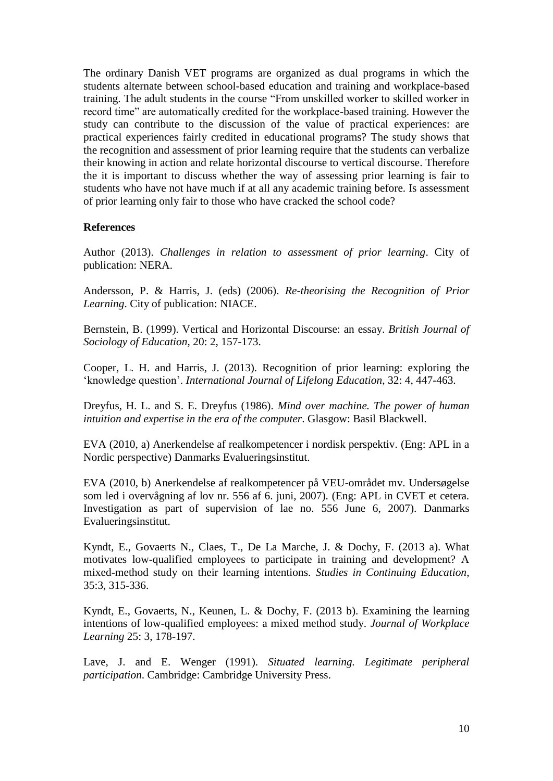The ordinary Danish VET programs are organized as dual programs in which the students alternate between school-based education and training and workplace-based training. The adult students in the course "From unskilled worker to skilled worker in record time" are automatically credited for the workplace-based training. However the study can contribute to the discussion of the value of practical experiences: are practical experiences fairly credited in educational programs? The study shows that the recognition and assessment of prior learning require that the students can verbalize their knowing in action and relate horizontal discourse to vertical discourse. Therefore the it is important to discuss whether the way of assessing prior learning is fair to students who have not have much if at all any academic training before. Is assessment of prior learning only fair to those who have cracked the school code?

#### **References**

<span id="page-9-0"></span>Author (2013). *Challenges in relation to assessment of prior learning*. City of publication: NERA.

Andersson, P. & Harris, J. (eds) (2006). *Re-theorising the Recognition of Prior Learning*. City of publication: NIACE.

Bernstein, B. (1999). Vertical and Horizontal Discourse: an essay. *British Journal of Sociology of Education*, 20: 2, 157-173.

Cooper, L. H. and Harris, J. (2013). Recognition of prior learning: exploring the "knowledge question". *International Journal of Lifelong Education*, 32: 4, 447-463.

<span id="page-9-3"></span>Dreyfus, H. L. and S. E. Dreyfus (1986). *Mind over machine. The power of human intuition and expertise in the era of the computer*. Glasgow: Basil Blackwell.

EVA (2010, a) Anerkendelse af realkompetencer i nordisk perspektiv. (Eng: APL in a Nordic perspective) Danmarks Evalueringsinstitut.

EVA (2010, b) Anerkendelse af realkompetencer på VEU-området mv. Undersøgelse som led i overvågning af lov nr. 556 af 6. juni, 2007). (Eng: APL in CVET et cetera. Investigation as part of supervision of lae no. 556 June 6, 2007). Danmarks Evalueringsinstitut.

Kyndt, E., Govaerts N., Claes, T., De La Marche, J. & Dochy, F. (2013 a). What motivates low-qualified employees to participate in training and development? A mixed-method study on their learning intentions. *Studies in Continuing Education*, 35:3, 315-336.

<span id="page-9-1"></span>Kyndt, E., Govaerts, N., Keunen, L. & Dochy, F. (2013 b). Examining the learning intentions of low-qualified employees: a mixed method study. *Journal of Workplace Learning* 25: 3, 178-197.

<span id="page-9-2"></span>Lave, J. and E. Wenger (1991). *Situated learning. Legitimate peripheral participation*. Cambridge: Cambridge University Press.